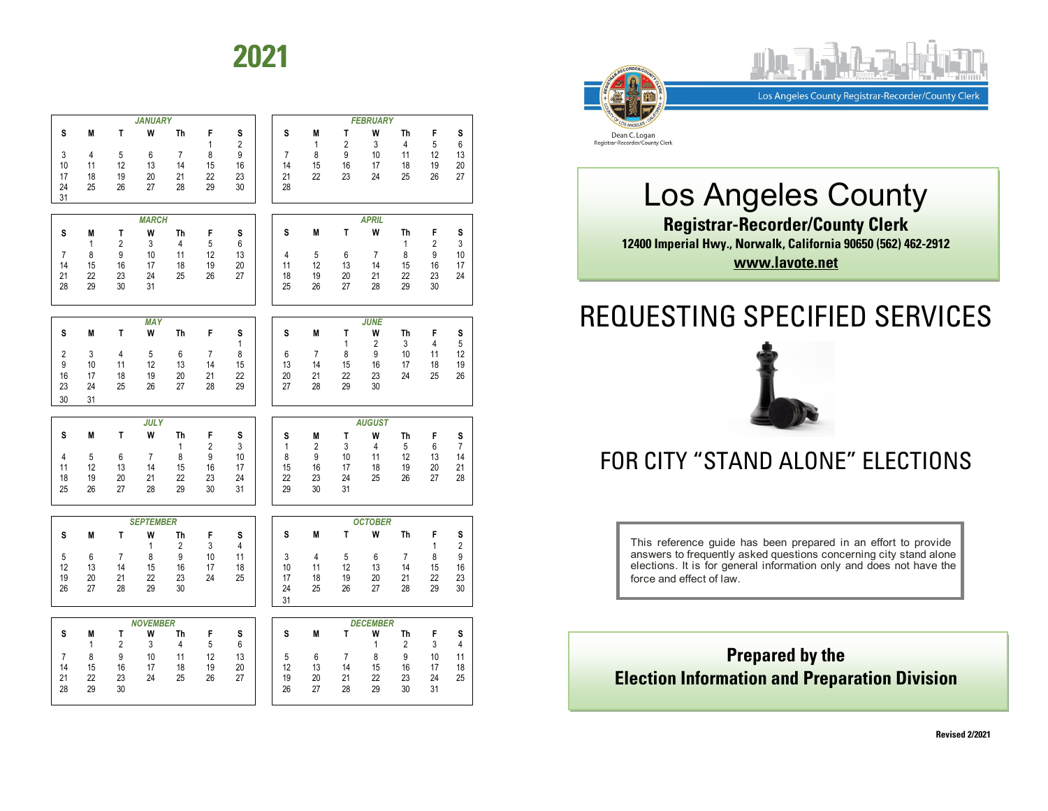# **2021**







Los Angeles County **Registrar-Recorder/County Clerk 12400 Imperial Hwy., Norwalk, California 90650 (562) 462-2912 www.lavote.net**

# REQUESTING SPECIFIED SERVICES



## FOR CITY "STAND ALONE" ELECTIONS

This reference guide has been prepared in an effort to provide answers to frequently asked questions concerning city stand alone elections. It is for general information only and does not have the force and effect of law.

### **Prepared by the Election Information and Preparation Division**